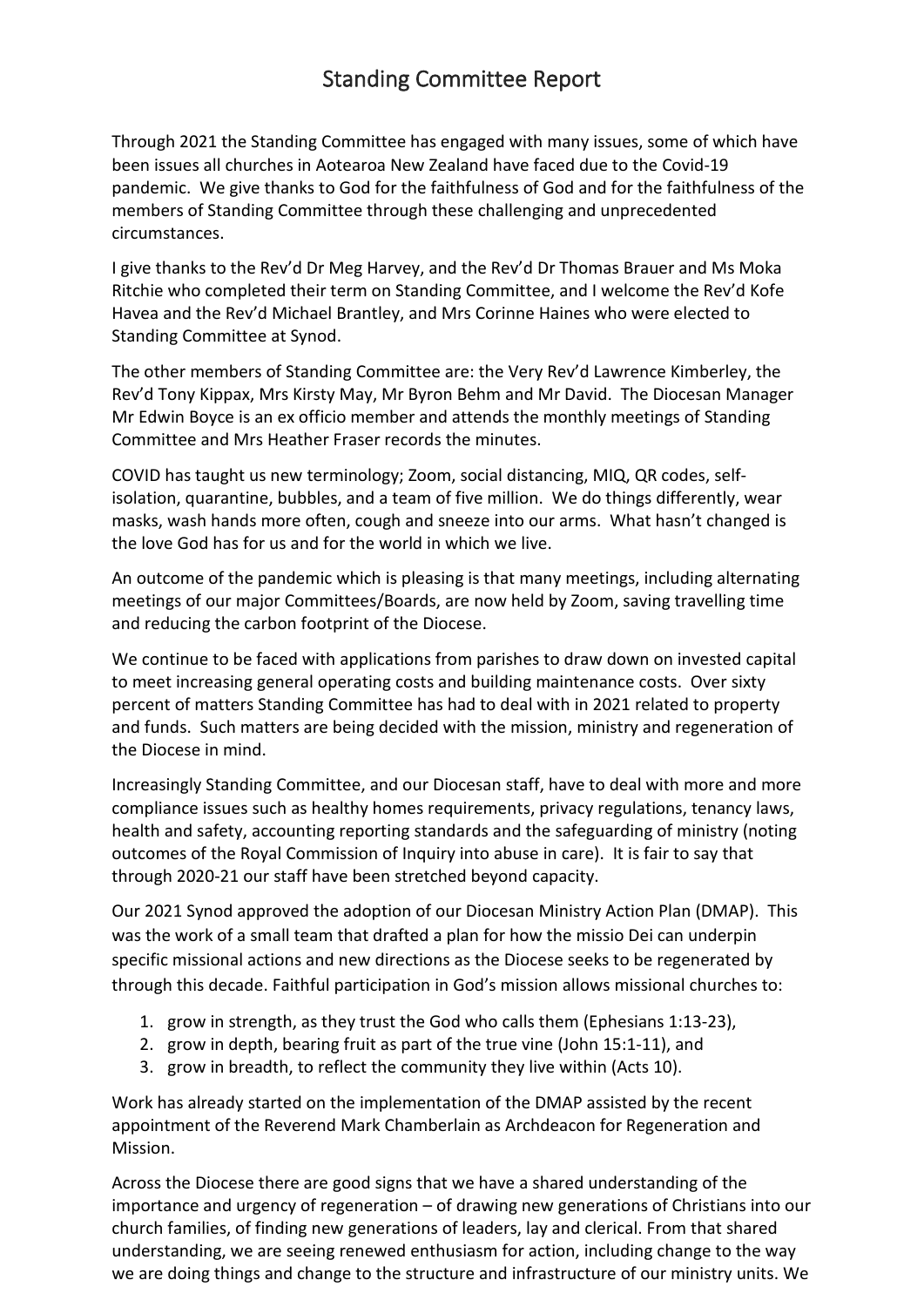## Standing Committee Report

Through 2021 the Standing Committee has engaged with many issues, some of which have been issues all churches in Aotearoa New Zealand have faced due to the Covid-19 pandemic. We give thanks to God for the faithfulness of God and for the faithfulness of the members of Standing Committee through these challenging and unprecedented circumstances.

I give thanks to the Rev'd Dr Meg Harvey, and the Rev'd Dr Thomas Brauer and Ms Moka Ritchie who completed their term on Standing Committee, and I welcome the Rev'd Kofe Havea and the Rev'd Michael Brantley, and Mrs Corinne Haines who were elected to Standing Committee at Synod.

The other members of Standing Committee are: the Very Rev'd Lawrence Kimberley, the Rev'd Tony Kippax, Mrs Kirsty May, Mr Byron Behm and Mr David. The Diocesan Manager Mr Edwin Boyce is an ex officio member and attends the monthly meetings of Standing Committee and Mrs Heather Fraser records the minutes.

COVID has taught us new terminology; Zoom, social distancing, MIQ, QR codes, selfisolation, quarantine, bubbles, and a team of five million. We do things differently, wear masks, wash hands more often, cough and sneeze into our arms. What hasn't changed is the love God has for us and for the world in which we live.

An outcome of the pandemic which is pleasing is that many meetings, including alternating meetings of our major Committees/Boards, are now held by Zoom, saving travelling time and reducing the carbon footprint of the Diocese.

We continue to be faced with applications from parishes to draw down on invested capital to meet increasing general operating costs and building maintenance costs. Over sixty percent of matters Standing Committee has had to deal with in 2021 related to property and funds. Such matters are being decided with the mission, ministry and regeneration of the Diocese in mind.

Increasingly Standing Committee, and our Diocesan staff, have to deal with more and more compliance issues such as healthy homes requirements, privacy regulations, tenancy laws, health and safety, accounting reporting standards and the safeguarding of ministry (noting outcomes of the Royal Commission of Inquiry into abuse in care). It is fair to say that through 2020-21 our staff have been stretched beyond capacity.

Our 2021 Synod approved the adoption of our Diocesan Ministry Action Plan (DMAP). This was the work of a small team that drafted a plan for how the missio Dei can underpin specific missional actions and new directions as the Diocese seeks to be regenerated by through this decade. Faithful participation in God's mission allows missional churches to:

- 1. grow in strength, as they trust the God who calls them (Ephesians 1:13-23),
- 2. grow in depth, bearing fruit as part of the true vine (John 15:1-11), and
- 3. grow in breadth, to reflect the community they live within (Acts 10).

Work has already started on the implementation of the DMAP assisted by the recent appointment of the Reverend Mark Chamberlain as Archdeacon for Regeneration and Mission.

Across the Diocese there are good signs that we have a shared understanding of the importance and urgency of regeneration – of drawing new generations of Christians into our church families, of finding new generations of leaders, lay and clerical. From that shared understanding, we are seeing renewed enthusiasm for action, including change to the way we are doing things and change to the structure and infrastructure of our ministry units. We